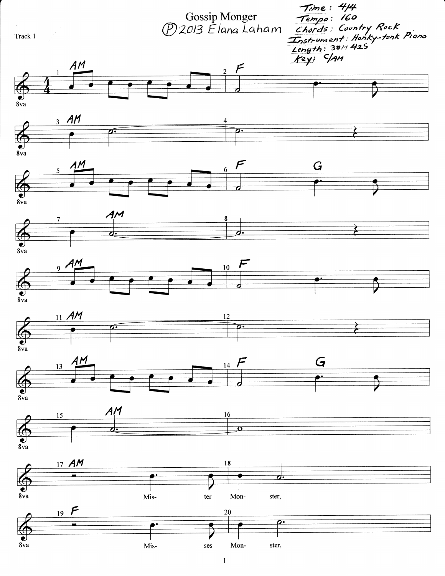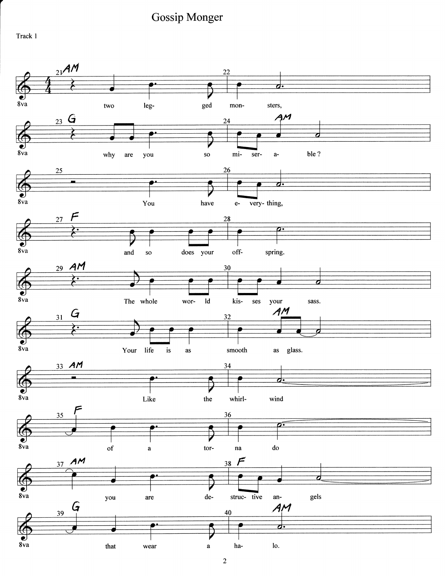Track 1

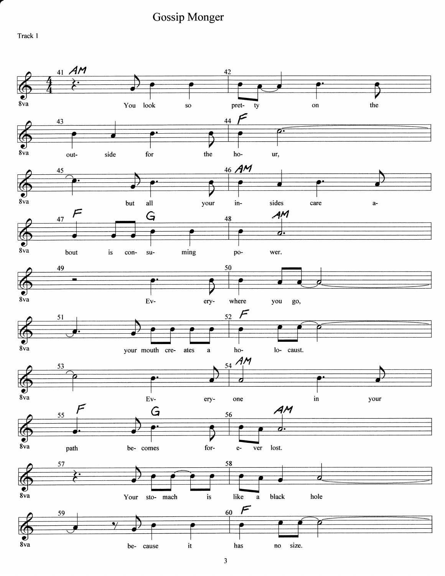Track 1

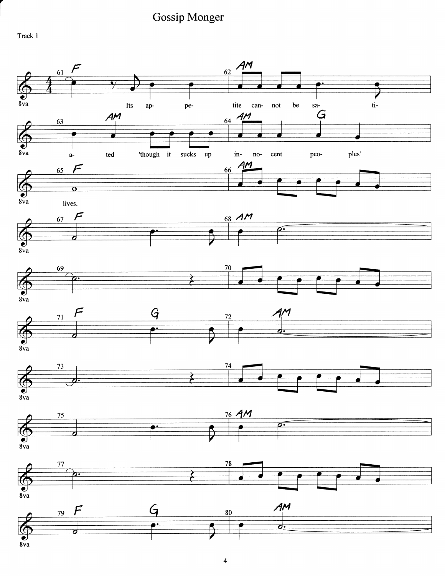**Gossip Monger** 



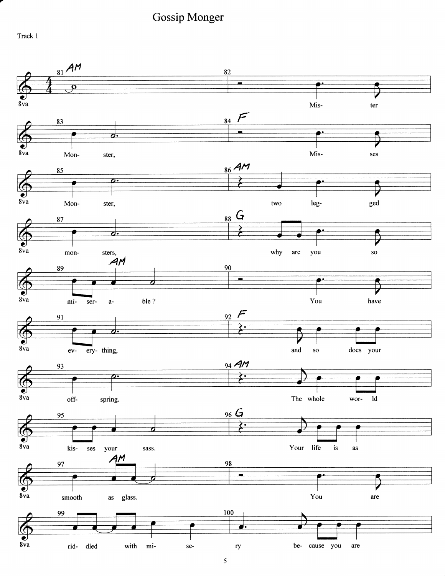**Gossip Monger** 



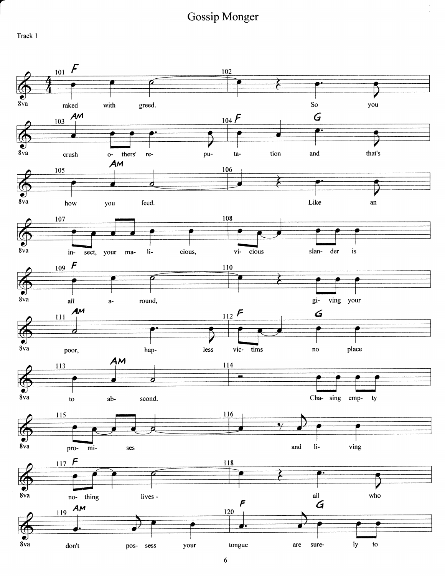Track 1

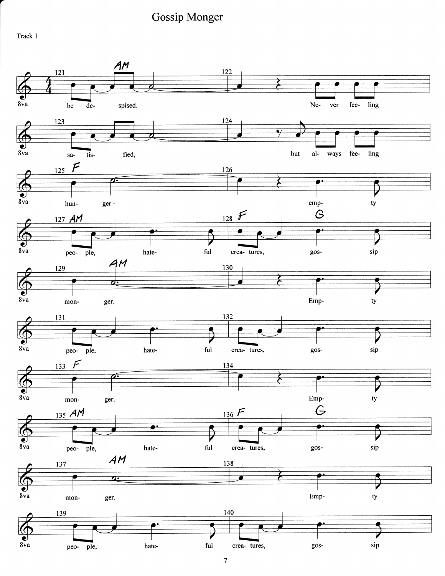Track <sup>1</sup>